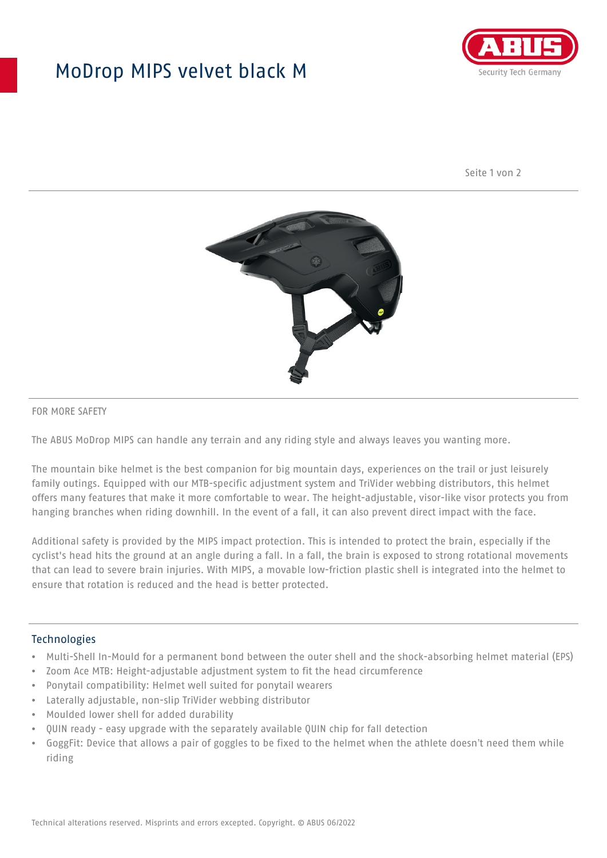## MoDrop MIPS velvet black M



Seite 1 von 2



#### FOR MORE SAFETY

The ABUS MoDrop MIPS can handle any terrain and any riding style and always leaves you wanting more.

The mountain bike helmet is the best companion for big mountain days, experiences on the trail or just leisurely family outings. Equipped with our MTB-specific adjustment system and TriVider webbing distributors, this helmet offers many features that make it more comfortable to wear. The height-adjustable, visor-like visor protects you from hanging branches when riding downhill. In the event of a fall, it can also prevent direct impact with the face.

Additional safety is provided by the MIPS impact protection. This is intended to protect the brain, especially if the cyclist's head hits the ground at an angle during a fall. In a fall, the brain is exposed to strong rotational movements that can lead to severe brain injuries. With MIPS, a movable low-friction plastic shell is integrated into the helmet to ensure that rotation is reduced and the head is better protected.

#### Technologies

- Multi-Shell In-Mould for a permanent bond between the outer shell and the shock-absorbing helmet material (EPS)
- Zoom Ace MTB: Height-adjustable adjustment system to fit the head circumference
- Ponytail compatibility: Helmet well suited for ponytail wearers
- Laterally adjustable, non-slip TriVider webbing distributor
- Moulded lower shell for added durability
- QUIN ready easy upgrade with the separately available QUIN chip for fall detection
- GoggFit: Device that allows a pair of goggles to be fixed to the helmet when the athlete doesn't need them while riding